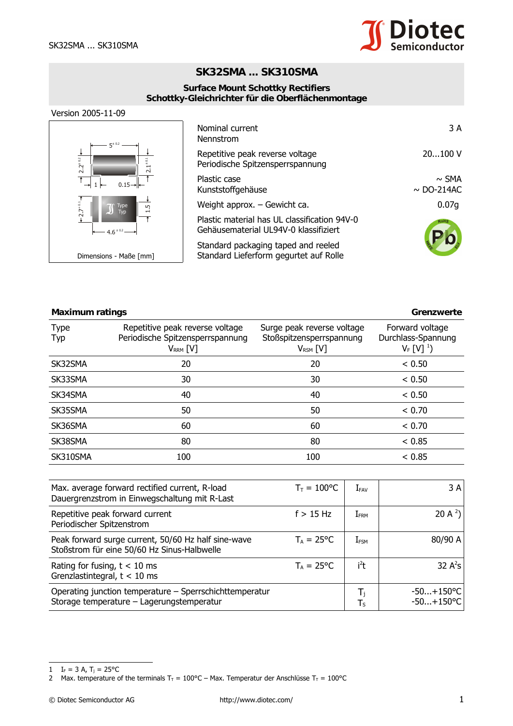

## **SK32SMA ... SK310SMA**

## **Surface Mount Schottky Rectifiers Schottky-Gleichrichter für die Oberflächenmontage**





| Nominal current<br>Nennstrom                                                          | 3 A                           |
|---------------------------------------------------------------------------------------|-------------------------------|
| Repetitive peak reverse voltage<br>Periodische Spitzensperrspannung                   | 20100V                        |
| Plastic case<br>Kunststoffgehäuse                                                     | $\sim$ SMA<br>$\sim$ DO-214AC |
| Weight approx. $-$ Gewicht ca.                                                        | 0.07q                         |
| Plastic material has UL classification 94V-0<br>Gehäusematerial UL94V-0 klassifiziert | RoHS                          |
| Standard packaging taped and reeled<br>Standard Lieferform gegurtet auf Rolle         |                               |

| <b>Maximum ratings</b> |                                                                                      |                                                                         | Grenzwerte                                                  |
|------------------------|--------------------------------------------------------------------------------------|-------------------------------------------------------------------------|-------------------------------------------------------------|
| <b>Type</b><br>Typ     | Repetitive peak reverse voltage<br>Periodische Spitzensperrspannung<br>$V_{RRM}$ [V] | Surge peak reverse voltage<br>Stoßspitzensperrspannung<br>$V_{RSM}$ [V] | Forward voltage<br>Durchlass-Spannung<br>$V_F$ [V] $^{1}$ ) |
| SK32SMA                | 20                                                                                   | 20                                                                      | < 0.50                                                      |
| SK33SMA                | 30                                                                                   | 30                                                                      | < 0.50                                                      |
| SK34SMA                | 40                                                                                   | 40                                                                      | < 0.50                                                      |
| SK35SMA                | 50                                                                                   | 50                                                                      | < 0.70                                                      |
| SK36SMA                | 60                                                                                   | 60                                                                      | < 0.70                                                      |
| SK38SMA                | 80                                                                                   | 80                                                                      | < 0.85                                                      |
| SK310SMA               | 100                                                                                  | 100                                                                     | < 0.85                                                      |

| Max. average forward rectified current, R-load<br>Dauergrenzstrom in Einwegschaltung mit R-Last      | $T_{\rm T} = 100$ °C | $I_{FAV}$        | 3 A                          |
|------------------------------------------------------------------------------------------------------|----------------------|------------------|------------------------------|
| Repetitive peak forward current<br>Periodischer Spitzenstrom                                         | $f > 15$ Hz          | $I_{\text{FRM}}$ | 20 A $^{2}$ )                |
| Peak forward surge current, 50/60 Hz half sine-wave<br>Stoßstrom für eine 50/60 Hz Sinus-Halbwelle   | $T_A = 25^{\circ}C$  | $I_{FSM}$        | 80/90 A                      |
| Rating for fusing, $t < 10$ ms<br>Grenzlastintegral, $t < 10$ ms                                     | $T_A = 25^{\circ}C$  | i <sup>2</sup> t | 32 $A^2S$                    |
| Operating junction temperature – Sperrschichttemperatur<br>Storage temperature - Lagerungstemperatur |                      | Ι,<br>Ts         | $-50+150$ °C<br>$-50+150$ °C |

<sup>1</sup>  $I_F = 3 A$ ,  $T_j = 25^{\circ}C$ 

<sup>2</sup> Max. temperature of the terminals  $T_T = 100^{\circ}C -$  Max. Temperatur der Anschlüsse  $T_T = 100^{\circ}C$